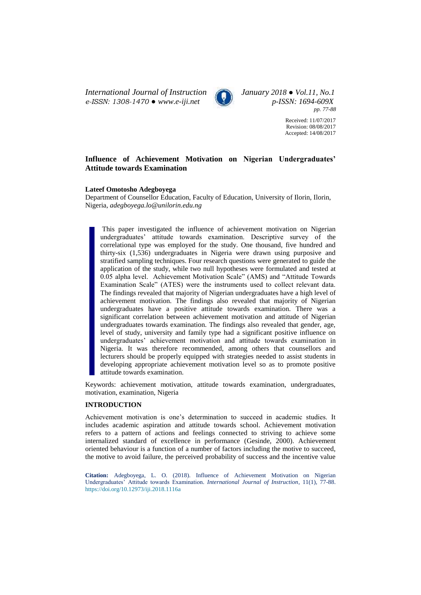*International Journal of Instruction January 2018 ● Vol.11, No.1 e-ISSN: 1308-1470 ● [www.e-iji.net](http://www.e-iji.net/) p-ISSN: 1694-609X*



*pp. 77-88*

Received: 11/07/2017 Revision: 08/08/2017 Accepted: 14/08/2017

# **Influence of Achievement Motivation on Nigerian Undergraduates' Attitude towards Examination**

# **Lateef Omotosho Adegboyega**

Department of Counsellor Education, Faculty of Education, University of Ilorin, Ilorin, Nigeria, *[adegboyega.lo@unilorin.edu.ng](mailto:adegboyega.lo@unilorin.edu.ng)*

This paper investigated the influence of achievement motivation on Nigerian undergraduates' attitude towards examination. Descriptive survey of the correlational type was employed for the study. One thousand, five hundred and thirty-six (1,536) undergraduates in Nigeria were drawn using purposive and stratified sampling techniques. Four research questions were generated to guide the application of the study, while two null hypotheses were formulated and tested at 0.05 alpha level. Achievement Motivation Scale" (AMS) and "Attitude Towards Examination Scale" (ATES) were the instruments used to collect relevant data. The findings revealed that majority of Nigerian undergraduates have a high level of achievement motivation. The findings also revealed that majority of Nigerian undergraduates have a positive attitude towards examination. There was a significant correlation between achievement motivation and attitude of Nigerian undergraduates towards examination. The findings also revealed that gender, age, level of study, university and family type had a significant positive influence on undergraduates' achievement motivation and attitude towards examination in Nigeria. It was therefore recommended, among others that counsellors and lecturers should be properly equipped with strategies needed to assist students in developing appropriate achievement motivation level so as to promote positive attitude towards examination.

Keywords: achievement motivation, attitude towards examination, undergraduates, motivation, examination, Nigeria

# **INTRODUCTION**

Achievement motivation is one's determination to succeed in academic studies. It includes academic aspiration and attitude towards school. Achievement motivation refers to a pattern of actions and feelings connected to striving to achieve some internalized standard of excellence in performance (Gesinde, 2000). Achievement oriented behaviour is a function of a number of factors including the motive to succeed, the motive to avoid failure, the perceived probability of success and the incentive value

**Citation:** Adegboyega, L. O. (2018). Influence of Achievement Motivation on Nigerian Undergraduates' Attitude towards Examination. *International Journal of Instruction*, 11(1), 77-88. <https://doi.org/10.12973/iji.2018.1116a>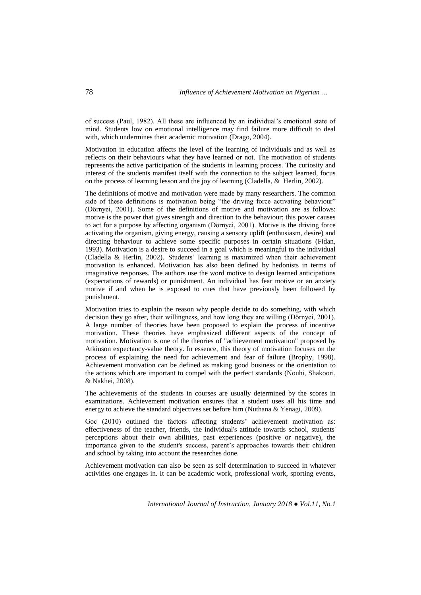of success (Paul, 1982). All these are influenced by an individual's emotional state of mind. Students low on emotional intelligence may find failure more difficult to deal with, which undermines their academic motivation (Drago, 2004).

Motivation in education affects the level of the learning of individuals and as well as reflects on their behaviours what they have learned or not. The motivation of students represents the active participation of the students in learning process. The curiosity and interest of the students manifest itself with the connection to the subject learned, focus on the process of learning lesson and the joy of learning (Cladella, & Herlin, 2002).

The definitions of motive and motivation were made by many researchers. The common side of these definitions is motivation being "the driving force activating behaviour" (Dörnyei, 2001). Some of the definitions of motive and motivation are as follows: motive is the power that gives strength and direction to the behaviour; this power causes to act for a purpose by affecting organism (Dörnyei, 2001). Motive is the driving force activating the organism, giving energy, causing a sensory uplift (enthusiasm, desire) and directing behaviour to achieve some specific purposes in certain situations (Fidan, 1993). Motivation is a desire to succeed in a goal which is meaningful to the individual (Cladella & Herlin, 2002). Students' learning is maximized when their achievement motivation is enhanced. Motivation has also been defined by hedonists in terms of imaginative responses. The authors use the word motive to design learned anticipations (expectations of rewards) or punishment. An individual has fear motive or an anxiety motive if and when he is exposed to cues that have previously been followed by punishment.

Motivation tries to explain the reason why people decide to do something, with which decision they go after, their willingness, and how long they are willing (Dörnyei, 2001). A large number of theories have been proposed to explain the process of incentive motivation. These theories have emphasized different aspects of the concept of motivation. Motivation is one of the theories of "achievement motivation" proposed by Atkinson expectancy-value theory. In essence, this theory of motivation focuses on the process of explaining the need for achievement and fear of failure (Brophy, 1998). Achievement motivation can be defined as making good business or the orientation to the actions which are important to compel with the perfect standards (Nouhi, Shakoori, & Nakhei, 2008).

The achievements of the students in courses are usually determined by the scores in examinations. Achievement motivation ensures that a student uses all his time and energy to achieve the standard objectives set before him (Nuthana & Yenagi, 2009).

Goc (2010) outlined the factors affecting students' achievement motivation as: effectiveness of the teacher, friends, the individual's attitude towards school, students' perceptions about their own abilities, past experiences (positive or negative), the importance given to the student's success, parent's approaches towards their children and school by taking into account the researches done.

Achievement motivation can also be seen as self determination to succeed in whatever activities one engages in. It can be academic work, professional work, sporting events,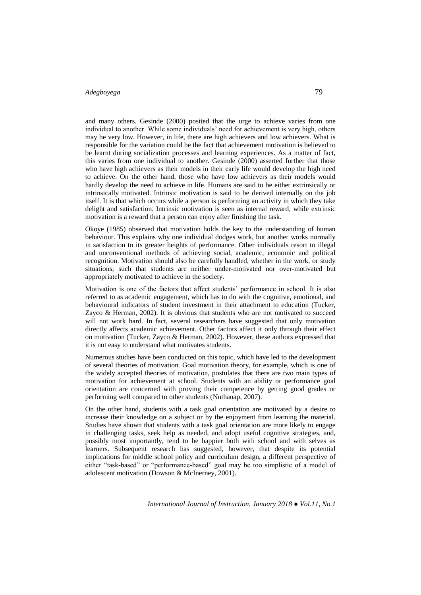and many others. Gesinde (2000) posited that the urge to achieve varies from one individual to another. While some individuals' need for achievement is very high, others may be very low. However, in life, there are high achievers and low achievers. What is responsible for the variation could be the fact that achievement motivation is believed to be learnt during socialization processes and learning experiences. As a matter of fact, this varies from one individual to another. Gesinde (2000) asserted further that those who have high achievers as their models in their early life would develop the high need to achieve. On the other hand, those who have low achievers as their models would hardly develop the need to achieve in life. Humans are said to be either extrinsically or intrinsically motivated. Intrinsic motivation is said to be derived internally on the job itself. It is that which occurs while a person is performing an activity in which they take delight and satisfaction. Intrinsic motivation is seen as internal reward, while extrinsic motivation is a reward that a person can enjoy after finishing the task.

Okoye (1985) observed that motivation holds the key to the understanding of human behaviour. This explains why one individual dodges work, but another works normally in satisfaction to its greater heights of performance. Other individuals resort to illegal and unconventional methods of achieving social, academic, economic and political recognition. Motivation should also be carefully handled, whether in the work, or study situations; such that students are neither under-motivated nor over-motivated but appropriately motivated to achieve in the society.

Motivation is one of the factors that affect students' performance in school. It is also referred to as academic engagement, which has to do with the cognitive, emotional, and behavioural indicators of student investment in their attachment to education (Tucker, Zayco & Herman, 2002). It is obvious that students who are not motivated to succeed will not work hard. In fact, several researchers have suggested that only motivation directly affects academic achievement. Other factors affect it only through their effect on motivation (Tucker, Zayco & Herman, 2002). However, these authors expressed that it is not easy to understand what motivates students.

Numerous studies have been conducted on this topic, which have led to the development of several theories of motivation. Goal motivation theory, for example, which is one of the widely accepted theories of motivation, postulates that there are two main types of motivation for achievement at school. Students with an ability or performance goal orientation are concerned with proving their competence by getting good grades or performing well compared to other students (Nuthanap, 2007).

On the other hand, students with a task goal orientation are motivated by a desire to increase their knowledge on a subject or by the enjoyment from learning the material. Studies have shown that students with a task goal orientation are more likely to engage in challenging tasks, seek help as needed, and adopt useful cognitive strategies, and, possibly most importantly, tend to be happier both with school and with selves as learners. Subsequent research has suggested, however, that despite its potential implications for middle school policy and curriculum design, a different perspective of either "task-based" or "performance-based" goal may be too simplistic of a model of adolescent motivation (Dowson & McInerney, 2001).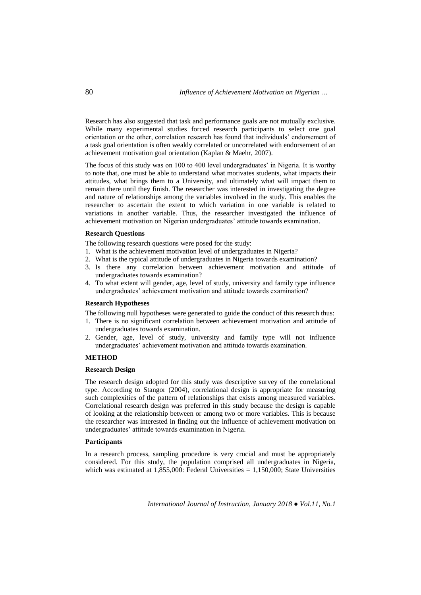Research has also suggested that task and performance goals are not mutually exclusive. While many experimental studies forced research participants to select one goal orientation or the other, correlation research has found that individuals' endorsement of a task goal orientation is often weakly correlated or uncorrelated with endorsement of an achievement motivation goal orientation (Kaplan & Maehr, 2007).

The focus of this study was on 100 to 400 level undergraduates' in Nigeria. It is worthy to note that, one must be able to understand what motivates students, what impacts their attitudes, what brings them to a University, and ultimately what will impact them to remain there until they finish. The researcher was interested in investigating the degree and nature of relationships among the variables involved in the study. This enables the researcher to ascertain the extent to which variation in one variable is related to variations in another variable. Thus, the researcher investigated the influence of achievement motivation on Nigerian undergraduates' attitude towards examination.

### **Research Questions**

The following research questions were posed for the study:

- 1. What is the achievement motivation level of undergraduates in Nigeria?
- 2. What is the typical attitude of undergraduates in Nigeria towards examination?
- 3. Is there any correlation between achievement motivation and attitude of undergraduates towards examination?
- 4. To what extent will gender, age, level of study, university and family type influence undergraduates' achievement motivation and attitude towards examination?

## **Research Hypotheses**

The following null hypotheses were generated to guide the conduct of this research thus:

- 1. There is no significant correlation between achievement motivation and attitude of undergraduates towards examination.
- 2. Gender, age, level of study, university and family type will not influence undergraduates' achievement motivation and attitude towards examination.

#### **METHOD**

## **Research Design**

The research design adopted for this study was descriptive survey of the correlational type. According to Stangor (2004), correlational design is appropriate for measuring such complexities of the pattern of relationships that exists among measured variables. Correlational research design was preferred in this study because the design is capable of looking at the relationship between or among two or more variables. This is because the researcher was interested in finding out the influence of achievement motivation on undergraduates' attitude towards examination in Nigeria.

## **Participants**

In a research process, sampling procedure is very crucial and must be appropriately considered. For this study, the population comprised all undergraduates in Nigeria, which was estimated at  $1,855,000$ : Federal Universities =  $1,150,000$ ; State Universities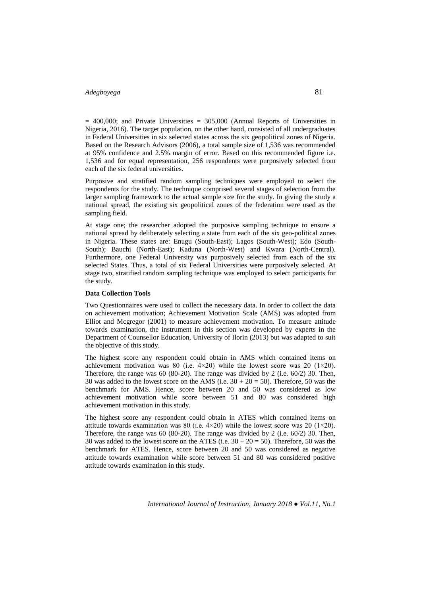$= 400,000$ ; and Private Universities  $= 305,000$  (Annual Reports of Universities in Nigeria, 2016). The target population, on the other hand, consisted of all undergraduates in Federal Universities in six selected states across the six geopolitical zones of Nigeria. Based on the Research Advisors (2006), a total sample size of 1,536 was recommended at 95% confidence and 2.5% margin of error. Based on this recommended figure i.e. 1,536 and for equal representation, 256 respondents were purposively selected from each of the six federal universities.

Purposive and stratified random sampling techniques were employed to select the respondents for the study. The technique comprised several stages of selection from the larger sampling framework to the actual sample size for the study. In giving the study a national spread, the existing six geopolitical zones of the federation were used as the sampling field.

At stage one; the researcher adopted the purposive sampling technique to ensure a national spread by deliberately selecting a state from each of the six geo-political zones in Nigeria. These states are: Enugu (South-East); Lagos (South-West); Edo (South-South); Bauchi (North-East); Kaduna (North-West) and Kwara (North-Central). Furthermore, one Federal University was purposively selected from each of the six selected States. Thus, a total of six Federal Universities were purposively selected. At stage two, stratified random sampling technique was employed to select participants for the study.

## **Data Collection Tools**

Two Questionnaires were used to collect the necessary data. In order to collect the data on achievement motivation; Achievement Motivation Scale (AMS) was adopted from Elliot and Mcgregor (2001) to measure achievement motivation. To measure attitude towards examination, the instrument in this section was developed by experts in the Department of Counsellor Education, University of Ilorin (2013) but was adapted to suit the objective of this study.

The highest score any respondent could obtain in AMS which contained items on achievement motivation was 80 (i.e.  $4 \times 20$ ) while the lowest score was 20 (1×20). Therefore, the range was 60 (80-20). The range was divided by 2 (i.e. 60/2) 30. Then, 30 was added to the lowest score on the AMS (i.e.  $30 + 20 = 50$ ). Therefore, 50 was the benchmark for AMS. Hence, score between 20 and 50 was considered as low achievement motivation while score between 51 and 80 was considered high achievement motivation in this study.

The highest score any respondent could obtain in ATES which contained items on attitude towards examination was 80 (i.e.  $4 \times 20$ ) while the lowest score was 20 ( $1 \times 20$ ). Therefore, the range was 60 (80-20). The range was divided by 2 (i.e. 60/2) 30. Then, 30 was added to the lowest score on the ATES (i.e.  $30 + 20 = 50$ ). Therefore, 50 was the benchmark for ATES. Hence, score between 20 and 50 was considered as negative attitude towards examination while score between 51 and 80 was considered positive attitude towards examination in this study.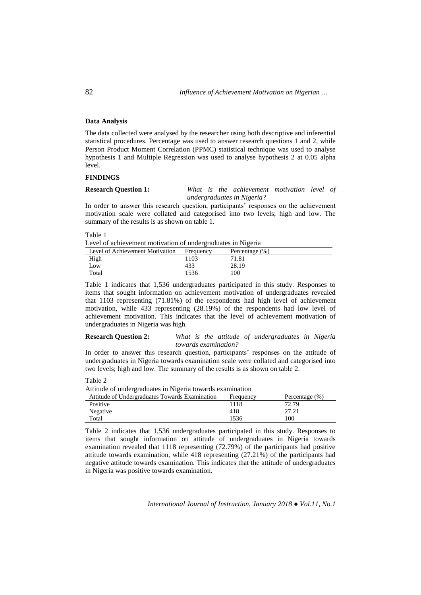# **Data Analysis**

The data collected were analysed by the researcher using both descriptive and inferential statistical procedures. Percentage was used to answer research questions 1 and 2, while Person Product Moment Correlation (PPMC) statistical technique was used to analyse hypothesis 1 and Multiple Regression was used to analyse hypothesis 2 at 0.05 alpha level.

# **FINDINGS**

**Research Question 1:** *What is the achievement motivation level of undergraduates in Nigeria?*

In order to answer this research question, participants' responses on the achievement motivation scale were collated and categorised into two levels; high and low. The summary of the results is as shown on table 1.

Table 1

Level of achievement motivation of undergraduates in Nigeria

| Level of Achievement Motivation | Frequency | Percentage $(\%)$ |  |
|---------------------------------|-----------|-------------------|--|
| High                            | 1103      | 71.81             |  |
| Low                             | 433       | 28.19             |  |
| Total                           | 1536      | 100               |  |

Table 1 indicates that 1,536 undergraduates participated in this study. Responses to items that sought information on achievement motivation of undergraduates revealed that 1103 representing (71.81%) of the respondents had high level of achievement motivation, while 433 representing (28.19%) of the respondents had low level of achievement motivation. This indicates that the level of achievement motivation of undergraduates in Nigeria was high.

# **Research Question 2:** *What is the attitude of undergraduates in Nigeria towards examination?*

In order to answer this research question, participants' responses on the attitude of undergraduates in Nigeria towards examination scale were collated and categorised into two levels; high and low. The summary of the results is as shown on table 2.

Table 2

Attitude of undergraduates in Nigeria towards examination

| Attitude of Undergraduates Towards Examination | Frequency | Percentage $(\%)$ |
|------------------------------------------------|-----------|-------------------|
| Positive                                       | 1118      | 72.79             |
| Negative                                       | 418       | 27.21             |
| Total                                          | 1536      | 100               |

Table 2 indicates that 1,536 undergraduates participated in this study. Responses to items that sought information on attitude of undergraduates in Nigeria towards examination revealed that 1118 representing (72.79%) of the participants had positive attitude towards examination, while 418 representing (27.21%) of the participants had negative attitude towards examination. This indicates that the attitude of undergraduates in Nigeria was positive towards examination.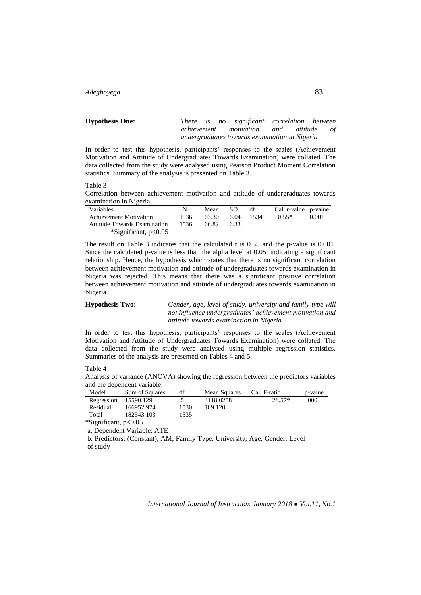| <b>Hypothesis One:</b> |  | There is no significant correlation between   |              |    |
|------------------------|--|-----------------------------------------------|--------------|----|
|                        |  | achievement motivation                        | and attitude | of |
|                        |  | undergraduates towards examination in Nigeria |              |    |

In order to test this hypothesis, participants' responses to the scales (Achievement Motivation and Attitude of Undergraduates Towards Examination) were collated. The data collected from the study were analysed using Pearson Product Moment Correlation statistics. Summary of the analysis is presented on Table 3.

#### Table 3

Correlation between achievement motivation and attitude of undergraduates towards examination in Nigeria

| Variables                                |      | Mean  | SD   | df   | Cal. r-value p-value |       |
|------------------------------------------|------|-------|------|------|----------------------|-------|
| Achievement Motivation                   | 1536 | 63.30 | 6.04 | 1534 | $0.55*$              | 0.001 |
| <b>Attitude Towards Examination</b>      | 1536 | 66.82 | 6.33 |      |                      |       |
| $\text{\textdegree}$ Significant, p<0.05 |      |       |      |      |                      |       |

The result on Table 3 indicates that the calculated r is 0.55 and the p-value is 0.001. Since the calculated p-value is less than the alpha level at 0.05, indicating a significant relationship. Hence, the hypothesis which states that there is no significant correlation between achievement motivation and attitude of undergraduates towards examination in Nigeria was rejected. This means that there was a significant positive correlation between achievement motivation and attitude of undergraduates towards examination in Nigeria.

**Hypothesis Two:** *Gender, age, level of study, university and family type will not influence undergraduates' achievement motivation and attitude towards examination in Nigeria*

In order to test this hypothesis, participants' responses to the scales (Achievement Motivation and Attitude of Undergraduates Towards Examination) were collated. The data collected from the study were analysed using multiple regression statistics. Summaries of the analysis are presented on Tables 4 and 5.

# Table 4

Analysis of variance (ANOVA) showing the regression between the predictors variables and the dependent variable

| Model      | <b>Sum of Squares</b> | df   | <b>Mean Squares</b> | Cal. F-ratio | p-value           |
|------------|-----------------------|------|---------------------|--------------|-------------------|
| Regression | 15590.129             |      | 3118.0258           | $28.57*$     | .000 <sup>b</sup> |
| Residual   | 166952.974            | 1530 | 109.120             |              |                   |
| Total      | 182543.103            | 1535 |                     |              |                   |

\*Significant, p<0.05

a. Dependent Variable: ATE

b. Predictors: (Constant), AM, Family Type, University, Age, Gender, Level of study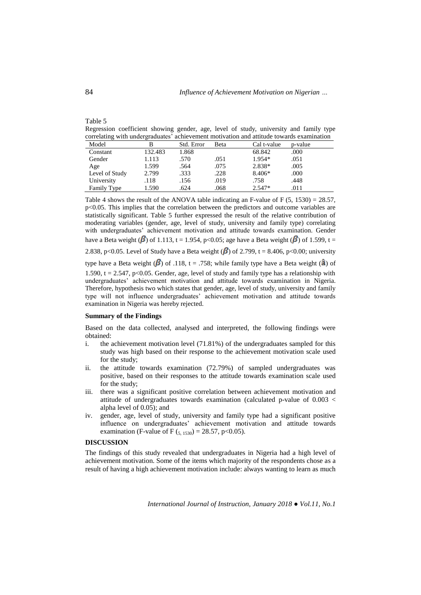# Table 5

Regression coefficient showing gender, age, level of study, university and family type correlating with undergraduates' achievement motivation and attitude towards examination

| Model          | ~       | Std. Error | Beta | Cal t-value | p-value |
|----------------|---------|------------|------|-------------|---------|
| Constant       | 132.483 | 1.868      |      | 68.842      | .000    |
| Gender         | 1.113   | .570       | .051 | 1.954*      | .051    |
| Age            | 1.599   | .564       | .075 | 2.838*      | .005    |
| Level of Study | 2.799   | .333       | .228 | 8.406*      | .000    |
| University     | .118    | .156       | .019 | .758        | .448    |
| Family Type    | 1.590   | .624       | .068 | $2.547*$    | .011    |

Table 4 shows the result of the ANOVA table indicating an F-value of F  $(5, 1530) = 28.57$ , p<0.05. This implies that the correlation between the predictors and outcome variables are statistically significant. Table 5 further expressed the result of the relative contribution of moderating variables (gender, age, level of study, university and family type) correlating with undergraduates' achievement motivation and attitude towards examination. Gender have a Beta weight ( $\beta$ ) of 1.113, t = 1.954, p<0.05; age have a Beta weight ( $\beta$ ) of 1.599, t = 2.838, p<0.05. Level of Study have a Beta weight  $(\beta)$  of 2.799, t = 8.406, p<0.00; university type have a Beta weight ( $\beta$ ) of .118, t = .758; while family type have a Beta weight ( $\hat{a}$ ) of 1.590,  $t = 2.547$ , p<0.05. Gender, age, level of study and family type has a relationship with undergraduates' achievement motivation and attitude towards examination in Nigeria. Therefore, hypothesis two which states that gender, age, level of study, university and family type will not influence undergraduates' achievement motivation and attitude towards examination in Nigeria was hereby rejected.

### **Summary of the Findings**

Based on the data collected, analysed and interpreted, the following findings were obtained:

- i. the achievement motivation level (71.81%) of the undergraduates sampled for this study was high based on their response to the achievement motivation scale used for the study;
- ii. the attitude towards examination (72.79%) of sampled undergraduates was positive, based on their responses to the attitude towards examination scale used for the study;
- iii. there was a significant positive correlation between achievement motivation and attitude of undergraduates towards examination (calculated p-value of 0.003 < alpha level of 0.05); and
- iv. gender, age, level of study, university and family type had a significant positive influence on undergraduates' achievement motivation and attitude towards examination (F-value of F ( $_{5.1530}$ ) = 28.57, p<0.05).

### **DISCUSSION**

The findings of this study revealed that undergraduates in Nigeria had a high level of achievement motivation. Some of the items which majority of the respondents chose as a result of having a high achievement motivation include: always wanting to learn as much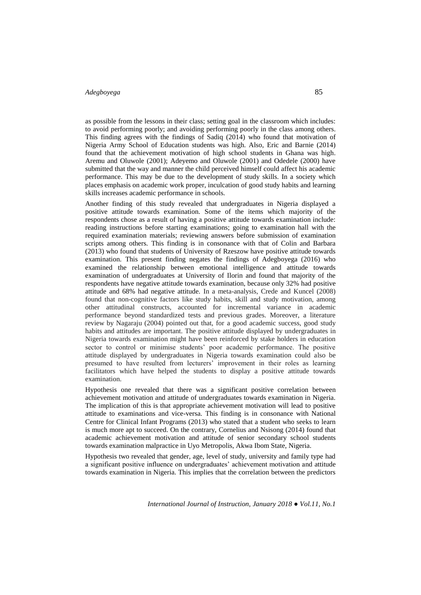as possible from the lessons in their class; setting goal in the classroom which includes: to avoid performing poorly; and avoiding performing poorly in the class among others. This finding agrees with the findings of Sadiq (2014) who found that motivation of Nigeria Army School of Education students was high. Also, Eric and Barnie (2014) found that the achievement motivation of high school students in Ghana was high. Aremu and Oluwole (2001); Adeyemo and Oluwole (2001) and Odedele (2000) have submitted that the way and manner the child perceived himself could affect his academic performance. This may be due to the development of study skills. In a society which places emphasis on academic work proper, inculcation of good study habits and learning skills increases academic performance in schools.

Another finding of this study revealed that undergraduates in Nigeria displayed a positive attitude towards examination. Some of the items which majority of the respondents chose as a result of having a positive attitude towards examination include: reading instructions before starting examinations; going to examination hall with the required examination materials; reviewing answers before submission of examination scripts among others. This finding is in consonance with that of Colin and Barbara (2013) who found that students of University of Rzeszow have positive attitude towards examination. This present finding negates the findings of Adegboyega (2016) who examined the relationship between emotional intelligence and attitude towards examination of undergraduates at University of Ilorin and found that majority of the respondents have negative attitude towards examination, because only 32% had positive attitude and 68% had negative attitude. In a meta-analysis, Crede and Kuncel (2008) found that non-cognitive factors like study habits, skill and study motivation, among other attitudinal constructs, accounted for incremental variance in academic performance beyond standardized tests and previous grades. Moreover, a literature review by Nagaraju (2004) pointed out that, for a good academic success, good study habits and attitudes are important. The positive attitude displayed by undergraduates in Nigeria towards examination might have been reinforced by stake holders in education sector to control or minimise students' poor academic performance. The positive attitude displayed by undergraduates in Nigeria towards examination could also be presumed to have resulted from lecturers' improvement in their roles as learning facilitators which have helped the students to display a positive attitude towards examination.

Hypothesis one revealed that there was a significant positive correlation between achievement motivation and attitude of undergraduates towards examination in Nigeria. The implication of this is that appropriate achievement motivation will lead to positive attitude to examinations and vice-versa. This finding is in consonance with National Centre for Clinical Infant Programs (2013) who stated that a student who seeks to learn is much more apt to succeed. On the contrary, Cornelius and Nsisong (2014) found that academic achievement motivation and attitude of senior secondary school students towards examination malpractice in Uyo Metropolis, Akwa Ibom State, Nigeria.

Hypothesis two revealed that gender, age, level of study, university and family type had a significant positive influence on undergraduates' achievement motivation and attitude towards examination in Nigeria. This implies that the correlation between the predictors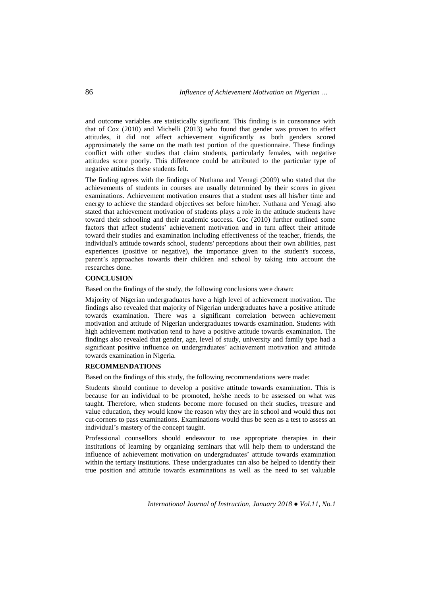and outcome variables are statistically significant. This finding is in consonance with that of Cox (2010) and Michelli (2013) who found that gender was proven to affect attitudes, it did not affect achievement significantly as both genders scored approximately the same on the math test portion of the questionnaire. These findings conflict with other studies that claim students, particularly females, with negative attitudes score poorly. This difference could be attributed to the particular type of negative attitudes these students felt.

The finding agrees with the findings of Nuthana and Yenagi (2009) who stated that the achievements of students in courses are usually determined by their scores in given examinations. Achievement motivation ensures that a student uses all his/her time and energy to achieve the standard objectives set before him/her. Nuthana and Yenagi also stated that achievement motivation of students plays a role in the attitude students have toward their schooling and their academic success. Goc (2010) further outlined some factors that affect students' achievement motivation and in turn affect their attitude toward their studies and examination including effectiveness of the teacher, friends, the individual's attitude towards school, students' perceptions about their own abilities, past experiences (positive or negative), the importance given to the student's success, parent's approaches towards their children and school by taking into account the researches done.

# **CONCLUSION**

Based on the findings of the study, the following conclusions were drawn:

Majority of Nigerian undergraduates have a high level of achievement motivation. The findings also revealed that majority of Nigerian undergraduates have a positive attitude towards examination. There was a significant correlation between achievement motivation and attitude of Nigerian undergraduates towards examination. Students with high achievement motivation tend to have a positive attitude towards examination. The findings also revealed that gender, age, level of study, university and family type had a significant positive influence on undergraduates' achievement motivation and attitude towards examination in Nigeria.

## **RECOMMENDATIONS**

Based on the findings of this study, the following recommendations were made:

Students should continue to develop a positive attitude towards examination. This is because for an individual to be promoted, he/she needs to be assessed on what was taught. Therefore, when students become more focused on their studies, treasure and value education, they would know the reason why they are in school and would thus not cut-corners to pass examinations. Examinations would thus be seen as a test to assess an individual's mastery of the concept taught.

Professional counsellors should endeavour to use appropriate therapies in their institutions of learning by organizing seminars that will help them to understand the influence of achievement motivation on undergraduates' attitude towards examination within the tertiary institutions. These undergraduates can also be helped to identify their true position and attitude towards examinations as well as the need to set valuable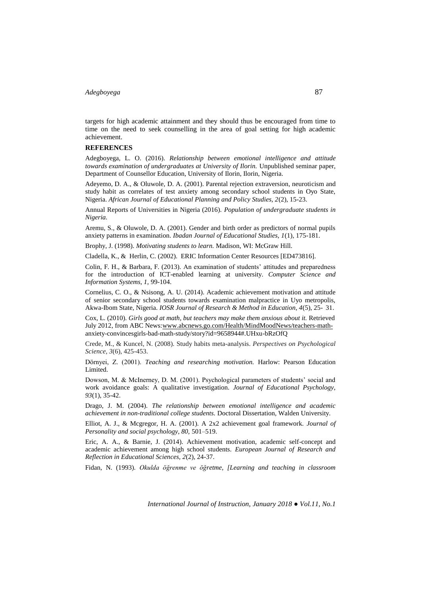targets for high academic attainment and they should thus be encouraged from time to time on the need to seek counselling in the area of goal setting for high academic achievement.

### **REFERENCES**

Adegboyega, L. O. (2016). *Relationship between emotional intelligence and attitude towards examination of undergraduates at University of Ilorin.* Unpublished seminar paper, Department of Counsellor Education, University of Ilorin, Ilorin, Nigeria.

Adeyemo, D. A., & Oluwole, D. A. (2001). Parental rejection extraversion, neuroticism and study habit as correlates of test anxiety among secondary school students in Oyo State, Nigeria. *African Journal of Educational Planning and Policy Studies, 2*(2), 15-23.

Annual Reports of Universities in Nigeria (2016). *Population of undergraduate students in Nigeria.*

Aremu, S., & Oluwole, D. A. (2001). Gender and birth order as predictors of normal pupils anxiety patterns in examination. *Ibadan Journal of Educational Studies, 1*(1), 175-181.

Brophy, J. (1998). *Motivating students to learn.* Madison, WI: McGraw Hill.

Cladella, K., & Herlin, C. (2002). ERIC Information Center Resources [ED473816].

Colin, F. H., & Barbara, F. (2013). An examination of students' attitudes and preparedness for the introduction of ICT-enabled learning at university. *Computer Science and Information Systems, 1,* 99-104.

Cornelius, C. O., & Nsisong, A. U. (2014). Academic achievement motivation and attitude of senior secondary school students towards examination malpractice in Uyo metropolis, Akwa-Ibom State, Nigeria. *IOSR Journal of Research & Method in Education, 4*(5), 25- 31.

Cox, L. (2010). *Girls good at math, but teachers may make them anxious about it.* Retrieved July 2012, from ABC News[:www.abcnews.go.com/Health/MindMoodNews/teachers-math](http://www.abcnews.go.com/Health/MindMoodNews/teachers-math-)anxiety-convincesgirls-bad-math-study/story?id=9658944#.UHxu-bRzOfQ

Crede, M., & Kuncel, N. (2008). Study habits meta-analysis. *Perspectives on Psychological Science, 3*(6), 425-453.

Dörnyei, Z. (2001). *Teaching and researching motivation.* Harlow: Pearson Education Limited.

Dowson, M. & McInerney, D. M. (2001). Psychological parameters of students' social and work avoidance goals: A qualitative investigation. *Journal of Educational Psychology, 93*(1), 35-42.

Drago, J. M. (2004). *The relationship between emotional intelligence and academic achievement in non-traditional college students.* Doctoral Dissertation, Walden University.

Elliot, A. J., & Mcgregor, H. A. (2001). A 2x2 achievement goal framework. *Journal of Personality and social psychology, 80,* 501–519.

Eric, A. A., & Barnie, J. (2014). Achievement motivation, academic self-concept and academic achievement among high school students. *European Journal of Research and Reflection in Educational Sciences, 2*(2), 24-37.

Fidan, N. (1993). *Okulda öğrenme ve öğretme, [Learning and teaching in classroom*